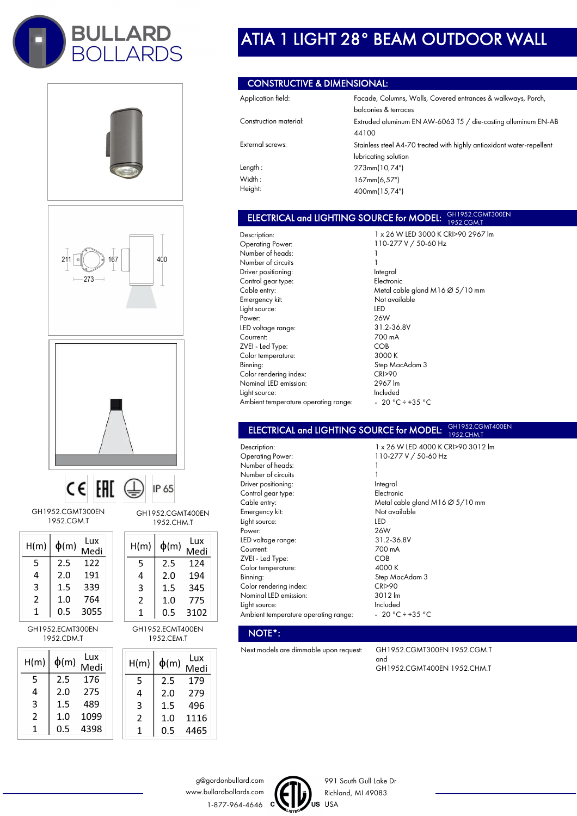









GH1952.CGMT300EN 1952.CGM.T

| H(m) | $\phi(m)$ | Lux<br>Medi |
|------|-----------|-------------|
| 5    | 2.5       | 122         |
| 4    | 2.0       | 191         |
| 3    | 1.5       | 339         |
| 2    | 1.0       | 764         |
| 1    | 0.5       | 3055        |

GH1952.ECMT300EN 1952.CDM.T

| H(m) | $\phi$ (m) | Lux<br>Medi |
|------|------------|-------------|
| 5    | 2.5        | 176         |
| 4    | 2.0        | 275         |
| 3    | 1.5        | 489         |
| 2    | 1.0        | 1099        |
| 1    | 0.5        | 4398        |

GH1952.CGMT400EN 1952.CHM.T  $\mathbf{L}$  $\overline{1}$  and

| H(m) | $\phi(m)$ | ∟u∧<br>Medi |  |
|------|-----------|-------------|--|
| 5    | 2.5       | 124         |  |
| 4    | 2.0       | 194         |  |
| 3    | 1.5       | 345         |  |
| 2    | 1.0       | 775         |  |
| 1    | 0.5       | 3102        |  |

GH1952.ECMT400EN 1952.CEM.T

| H(m) | $\phi$ (m) | Lux<br>Medi |
|------|------------|-------------|
| 5    | 2.5        | 179         |
| 4    | 2.0        | 279         |
| 3    | 1.5        | 496         |
| 2    | 1.0        | 1116        |
|      | 0.5        | 4465        |

# ATIA 1 LIGHT 28° BEAM OUTDOOR WALL

### CONSTRUCTIVE & DIMENSIONAL:

| Application field:     | Facade, Columns, Walls, Covered entrances & walkways, Porch,          |  |
|------------------------|-----------------------------------------------------------------------|--|
|                        | balconies & terraces                                                  |  |
| Construction material: | Extruded aluminum EN AW-6063 T5 / die-casting alluminum EN-AB         |  |
|                        | 44100                                                                 |  |
| External screws:       | Stainless steel A4-70 treated with highly antioxidant water-repellent |  |
|                        | lubricating solution                                                  |  |
| Length:                | 273mm(10,74")                                                         |  |
| Width:                 | 167mm(6,57")                                                          |  |
| Height:                | 400mm(15,74")                                                         |  |

#### ELECTRICAL and LIGHTING SOURCE for MODEL: GH1952.CGMT300EN 1952.CGM.T

Description: Operating Power: Number of heads: Number of circuits Driver positioning: Control gear type: Cable entry: Emergency kit: Light source: Power: LED voltage range: Courrent: ZVEI - Led Type: Color temperature: Binning: Color rendering index: Nominal LED emission: Light source: Ambient temperature operating range:

1 x 26 W LED 3000 K CRI>90 2967 lm 110-277 V / 50-60 Hz 1 1 Integral Electronic Metal cable gland M16 Ø 5/10 mm Not available LED 26W 31.2-36.8V 700 mA COB 3000 K Step MacAdam 3 CRI>90 2967 lm Included  $-20 °C \div 35 °C$ 

#### ELECTRICAL and LIGHTING SOURCE for MODEL: GH1952.CGMT400EN 1952.CHM.

Description: Operating Power: Number of heads: Number of circuits Driver positioning: Control gear type: Cable entry: Emergency kit: Light source: Power: LED voltage range: Courrent: ZVEI - Led Type: Color temperature: Binning: Color rendering index: Nominal LED emission: Light source: Ambient temperature operating range:

NOTE\*:

110-277 V / 50-60 Hz 1 1 Integral Electronic Metal cable gland M16 Ø 5/10 mm Not available LED 26W 31.2-36.8V 700 mA COB 4000 K Step MacAdam 3 CRI>90 3012 lm Included - 20 °C ÷ +35 °C

1 x 26 W LED 4000 K CRI>90 3012 lm

Next models are dimmable upon request: GH1952.CGMT300EN 1952.CGM.T and GH1952.CGMT400EN 1952.CHM.T

g@gordonbullard.com www.bullardbollards.com 1-877-964-4646 C



991 South Gull Lake Dr Richland, MI 49083